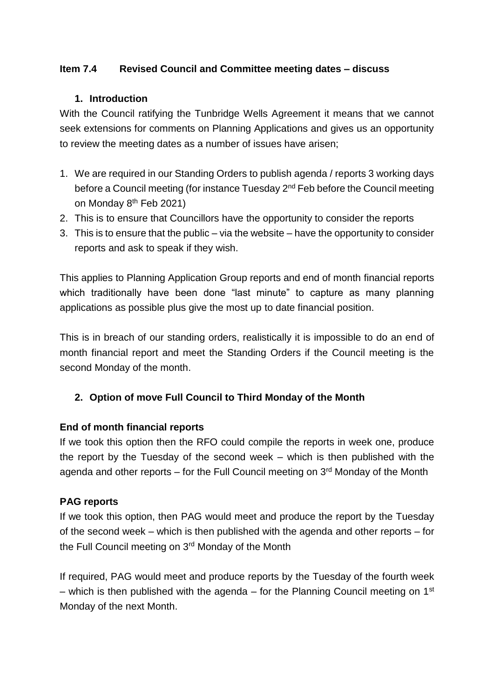### **Item 7.4 Revised Council and Committee meeting dates – discuss**

#### **1. Introduction**

With the Council ratifying the Tunbridge Wells Agreement it means that we cannot seek extensions for comments on Planning Applications and gives us an opportunity to review the meeting dates as a number of issues have arisen;

- 1. We are required in our Standing Orders to publish agenda / reports 3 working days before a Council meeting (for instance Tuesday 2<sup>nd</sup> Feb before the Council meeting on Monday 8<sup>th</sup> Feb 2021)
- 2. This is to ensure that Councillors have the opportunity to consider the reports
- 3. This is to ensure that the public via the website have the opportunity to consider reports and ask to speak if they wish.

This applies to Planning Application Group reports and end of month financial reports which traditionally have been done "last minute" to capture as many planning applications as possible plus give the most up to date financial position.

This is in breach of our standing orders, realistically it is impossible to do an end of month financial report and meet the Standing Orders if the Council meeting is the second Monday of the month.

# **2. Option of move Full Council to Third Monday of the Month**

### **End of month financial reports**

If we took this option then the RFO could compile the reports in week one, produce the report by the Tuesday of the second week – which is then published with the agenda and other reports – for the Full Council meeting on  $3<sup>rd</sup>$  Monday of the Month

### **PAG reports**

If we took this option, then PAG would meet and produce the report by the Tuesday of the second week – which is then published with the agenda and other reports – for the Full Council meeting on 3<sup>rd</sup> Monday of the Month

If required, PAG would meet and produce reports by the Tuesday of the fourth week – which is then published with the agenda – for the Planning Council meeting on  $1<sup>st</sup>$ Monday of the next Month.